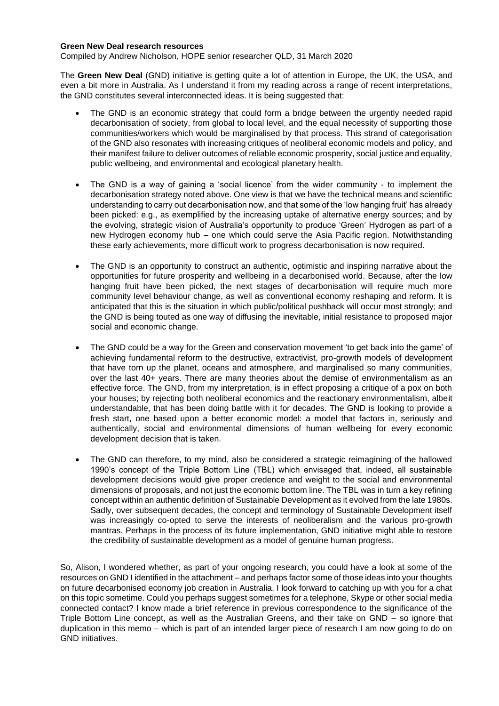#### **Green New Deal research resources**

Compiled by Andrew Nicholson, HOPE senior researcher QLD, 31 March 2020

The **Green New Deal** (GND) initiative is getting quite a lot of attention in Europe, the UK, the USA, and even a bit more in Australia. As I understand it from my reading across a range of recent interpretations, the GND constitutes several interconnected ideas. It is being suggested that:

- The GND is an economic strategy that could form a bridge between the urgently needed rapid decarbonisation of society, from global to local level, and the equal necessity of supporting those communities/workers which would be marginalised by that process. This strand of categorisation of the GND also resonates with increasing critiques of neoliberal economic models and policy, and their manifest failure to deliver outcomes of reliable economic prosperity, social justice and equality, public wellbeing, and environmental and ecological planetary health.
- The GND is a way of gaining a 'social licence' from the wider community to implement the decarbonisation strategy noted above. One view is that we have the technical means and scientific understanding to carry out decarbonisation now, and that some of the 'low hanging fruit' has already been picked: e.g., as exemplified by the increasing uptake of alternative energy sources; and by the evolving, strategic vision of Australia's opportunity to produce 'Green' Hydrogen as part of a new Hydrogen economy hub – one which could serve the Asia Pacific region. Notwithstanding these early achievements, more difficult work to progress decarbonisation is now required.
- The GND is an opportunity to construct an authentic, optimistic and inspiring narrative about the opportunities for future prosperity and wellbeing in a decarbonised world. Because, after the low hanging fruit have been picked, the next stages of decarbonisation will require much more community level behaviour change, as well as conventional economy reshaping and reform. It is anticipated that this is the situation in which public/political pushback will occur most strongly; and the GND is being touted as one way of diffusing the inevitable, initial resistance to proposed major social and economic change.
- The GND could be a way for the Green and conservation movement 'to get back into the game' of achieving fundamental reform to the destructive, extractivist, pro-growth models of development that have torn up the planet, oceans and atmosphere, and marginalised so many communities, over the last 40+ years. There are many theories about the demise of environmentalism as an effective force. The GND, from my interpretation, is in effect proposing a critique of a pox on both your houses; by rejecting both neoliberal economics and the reactionary environmentalism, albeit understandable, that has been doing battle with it for decades. The GND is looking to provide a fresh start, one based upon a better economic model: a model that factors in, seriously and authentically, social and environmental dimensions of human wellbeing for every economic development decision that is taken.
- The GND can therefore, to my mind, also be considered a strategic reimagining of the hallowed 1990's concept of the Triple Bottom Line (TBL) which envisaged that, indeed, all sustainable development decisions would give proper credence and weight to the social and environmental dimensions of proposals, and not just the economic bottom line. The TBL was in turn a key refining concept within an authentic definition of Sustainable Development as it evolved from the late 1980s. Sadly, over subsequent decades, the concept and terminology of Sustainable Development itself was increasingly co-opted to serve the interests of neoliberalism and the various pro-growth mantras. Perhaps in the process of its future implementation, GND initiative might able to restore the credibility of sustainable development as a model of genuine human progress.

So, Alison, I wondered whether, as part of your ongoing research, you could have a look at some of the resources on GND I identified in the attachment – and perhaps factor some of those ideas into your thoughts on future decarbonised economy job creation in Australia. I look forward to catching up with you for a chat on this topic sometime. Could you perhaps suggest sometimes for a telephone, Skype or other social media connected contact? I know made a brief reference in previous correspondence to the significance of the Triple Bottom Line concept, as well as the Australian Greens, and their take on GND – so ignore that duplication in this memo – which is part of an intended larger piece of research I am now going to do on GND initiatives.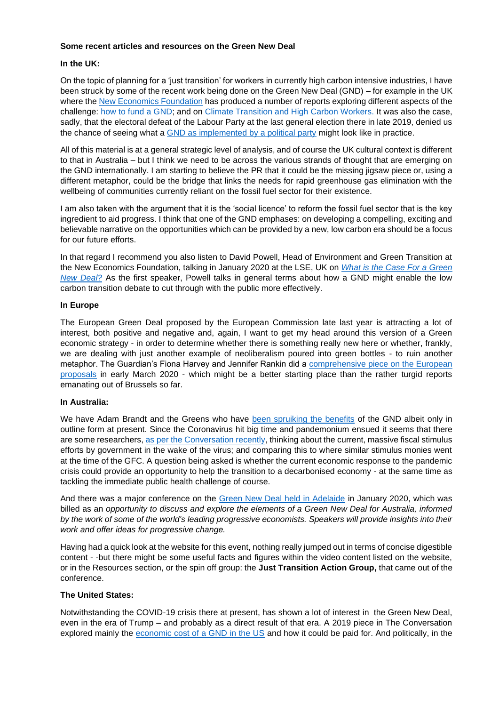### **Some recent articles and resources on the Green New Deal**

### **In the UK:**

On the topic of planning for a 'just transition' for workers in currently high carbon intensive industries, I have been struck by some of the recent work being done on the Green New Deal (GND) – for example in the UK where the New Economics Foundation has produced a number of reports exploring different aspects of the challenge: how to fund a GND; and on Climate Transition and High Carbon Workers. It was also the case, sadly, that the electoral defeat of the Labour Party at the last general election there in late 2019, denied us the chance of seeing what a GND as implemented by a political party might look like in practice.

All of this material is at a general strategic level of analysis, and of course the UK cultural context is different to that in Australia – but I think we need to be across the various strands of thought that are emerging on the GND internationally. I am starting to believe the PR that it could be the missing jigsaw piece or, using a different metaphor, could be the bridge that links the needs for rapid greenhouse gas elimination with the wellbeing of communities currently reliant on the fossil fuel sector for their existence.

I am also taken with the argument that it is the 'social licence' to reform the fossil fuel sector that is the key ingredient to aid progress. I think that one of the GND emphases: on developing a compelling, exciting and believable narrative on the opportunities which can be provided by a new, low carbon era should be a focus for our future efforts.

In that regard I recommend you also listen to David Powell, Head of Environment and Green Transition at the New Economics Foundation, talking in January 2020 at the LSE, UK on *What is the Case For a Green New Deal?* As the first speaker, Powell talks in general terms about how a GND might enable the low carbon transition debate to cut through with the public more effectively.

### **In Europe**

The European Green Deal proposed by the European Commission late last year is attracting a lot of interest, both positive and negative and, again, I want to get my head around this version of a Green economic strategy - in order to determine whether there is something really new here or whether, frankly, we are dealing with just another example of neoliberalism poured into green bottles - to ruin another metaphor. The Guardian's Fiona Harvey and Jennifer Rankin did a comprehensive piece on the European proposals in early March 2020 - which might be a better starting place than the rather turgid reports emanating out of Brussels so far.

# **In Australia:**

We have Adam Brandt and the Greens who have been spruiking the benefits of the GND albeit only in outline form at present. Since the Coronavirus hit big time and pandemonium ensued it seems that there are some researchers, as per the Conversation recently, thinking about the current, massive fiscal stimulus efforts by government in the wake of the virus; and comparing this to where similar stimulus monies went at the time of the GFC. A question being asked is whether the current economic response to the pandemic crisis could provide an opportunity to help the transition to a decarbonised economy - at the same time as tackling the immediate public health challenge of course.

And there was a major conference on the Green New Deal held in Adelaide in January 2020, which was billed as an *opportunity to discuss and explore the elements of a Green New Deal for Australia, informed by the work of some of the world's leading progressive economists. Speakers will provide insights into their work and offer ideas for progressive change.*

Having had a quick look at the website for this event, nothing really jumped out in terms of concise digestible content - -but there might be some useful facts and figures within the video content listed on the website, or in the Resources section, or the spin off group: the **Just Transition Action Group,** that came out of the conference.

# **The United States:**

Notwithstanding the COVID-19 crisis there at present, has shown a lot of interest in the Green New Deal, even in the era of Trump – and probably as a direct result of that era. A 2019 piece in The Conversation explored mainly the economic cost of a GND in the US and how it could be paid for. And politically, in the